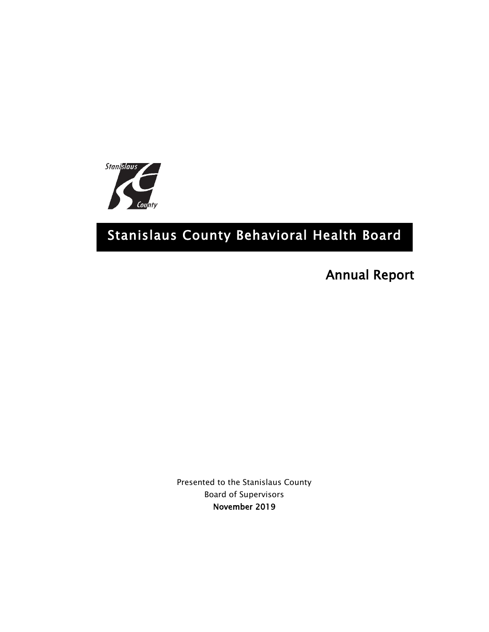

# Stanislaus County Behavioral Health Board

Annual Report

Presented to the Stanislaus County Board of Supervisors November 2019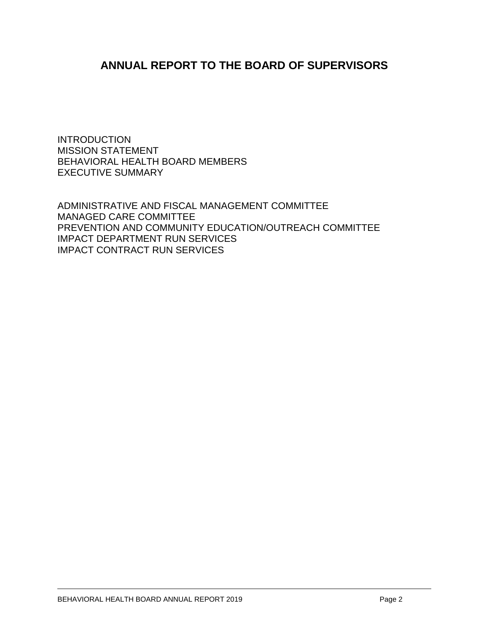# **ANNUAL REPORT TO THE BOARD OF SUPERVISORS**

INTRODUCTION MISSION STATEMENT BEHAVIORAL HEALTH BOARD MEMBERS EXECUTIVE SUMMARY

ADMINISTRATIVE AND FISCAL MANAGEMENT COMMITTEE MANAGED CARE COMMITTEE PREVENTION AND COMMUNITY EDUCATION/OUTREACH COMMITTEE IMPACT DEPARTMENT RUN SERVICES IMPACT CONTRACT RUN SERVICES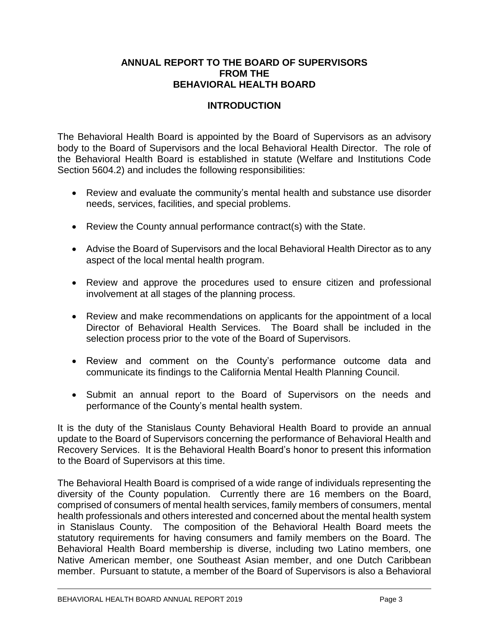## **ANNUAL REPORT TO THE BOARD OF SUPERVISORS FROM THE BEHAVIORAL HEALTH BOARD**

# **INTRODUCTION**

The Behavioral Health Board is appointed by the Board of Supervisors as an advisory body to the Board of Supervisors and the local Behavioral Health Director. The role of the Behavioral Health Board is established in statute (Welfare and Institutions Code Section 5604.2) and includes the following responsibilities:

- Review and evaluate the community's mental health and substance use disorder needs, services, facilities, and special problems.
- Review the County annual performance contract(s) with the State.
- Advise the Board of Supervisors and the local Behavioral Health Director as to any aspect of the local mental health program.
- Review and approve the procedures used to ensure citizen and professional involvement at all stages of the planning process.
- Review and make recommendations on applicants for the appointment of a local Director of Behavioral Health Services. The Board shall be included in the selection process prior to the vote of the Board of Supervisors.
- Review and comment on the County's performance outcome data and communicate its findings to the California Mental Health Planning Council.
- Submit an annual report to the Board of Supervisors on the needs and performance of the County's mental health system.

It is the duty of the Stanislaus County Behavioral Health Board to provide an annual update to the Board of Supervisors concerning the performance of Behavioral Health and Recovery Services. It is the Behavioral Health Board's honor to present this information to the Board of Supervisors at this time.

The Behavioral Health Board is comprised of a wide range of individuals representing the diversity of the County population. Currently there are 16 members on the Board, comprised of consumers of mental health services, family members of consumers, mental health professionals and others interested and concerned about the mental health system in Stanislaus County. The composition of the Behavioral Health Board meets the statutory requirements for having consumers and family members on the Board. The Behavioral Health Board membership is diverse, including two Latino members, one Native American member, one Southeast Asian member, and one Dutch Caribbean member. Pursuant to statute, a member of the Board of Supervisors is also a Behavioral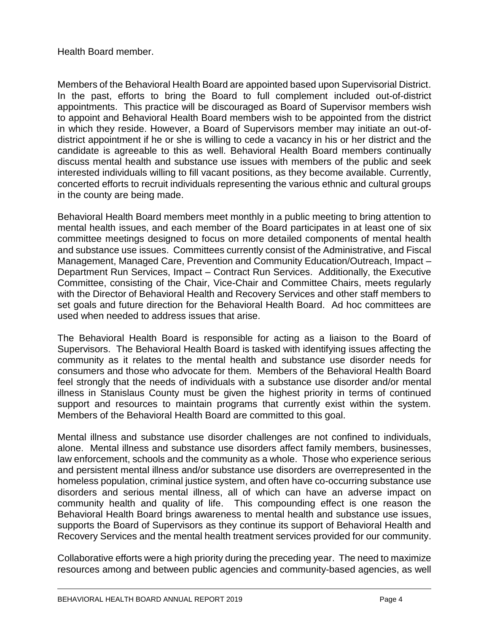## Health Board member.

Members of the Behavioral Health Board are appointed based upon Supervisorial District. In the past, efforts to bring the Board to full complement included out-of-district appointments. This practice will be discouraged as Board of Supervisor members wish to appoint and Behavioral Health Board members wish to be appointed from the district in which they reside. However, a Board of Supervisors member may initiate an out-ofdistrict appointment if he or she is willing to cede a vacancy in his or her district and the candidate is agreeable to this as well. Behavioral Health Board members continually discuss mental health and substance use issues with members of the public and seek interested individuals willing to fill vacant positions, as they become available. Currently, concerted efforts to recruit individuals representing the various ethnic and cultural groups in the county are being made.

Behavioral Health Board members meet monthly in a public meeting to bring attention to mental health issues, and each member of the Board participates in at least one of six committee meetings designed to focus on more detailed components of mental health and substance use issues. Committees currently consist of the Administrative, and Fiscal Management, Managed Care, Prevention and Community Education/Outreach, Impact – Department Run Services, Impact – Contract Run Services. Additionally, the Executive Committee, consisting of the Chair, Vice-Chair and Committee Chairs, meets regularly with the Director of Behavioral Health and Recovery Services and other staff members to set goals and future direction for the Behavioral Health Board. Ad hoc committees are used when needed to address issues that arise.

The Behavioral Health Board is responsible for acting as a liaison to the Board of Supervisors. The Behavioral Health Board is tasked with identifying issues affecting the community as it relates to the mental health and substance use disorder needs for consumers and those who advocate for them. Members of the Behavioral Health Board feel strongly that the needs of individuals with a substance use disorder and/or mental illness in Stanislaus County must be given the highest priority in terms of continued support and resources to maintain programs that currently exist within the system. Members of the Behavioral Health Board are committed to this goal.

Mental illness and substance use disorder challenges are not confined to individuals, alone. Mental illness and substance use disorders affect family members, businesses, law enforcement, schools and the community as a whole. Those who experience serious and persistent mental illness and/or substance use disorders are overrepresented in the homeless population, criminal justice system, and often have co-occurring substance use disorders and serious mental illness, all of which can have an adverse impact on community health and quality of life. This compounding effect is one reason the Behavioral Health Board brings awareness to mental health and substance use issues, supports the Board of Supervisors as they continue its support of Behavioral Health and Recovery Services and the mental health treatment services provided for our community.

Collaborative efforts were a high priority during the preceding year. The need to maximize resources among and between public agencies and community-based agencies, as well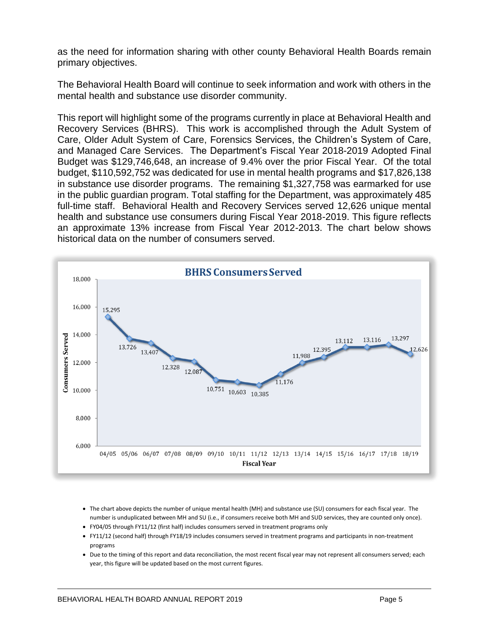as the need for information sharing with other county Behavioral Health Boards remain primary objectives.

The Behavioral Health Board will continue to seek information and work with others in the mental health and substance use disorder community.

This report will highlight some of the programs currently in place at Behavioral Health and Recovery Services (BHRS). This work is accomplished through the Adult System of Care, Older Adult System of Care, Forensics Services, the Children's System of Care, and Managed Care Services. The Department's Fiscal Year 2018-2019 Adopted Final Budget was \$129,746,648, an increase of 9.4% over the prior Fiscal Year. Of the total budget, \$110,592,752 was dedicated for use in mental health programs and \$17,826,138 in substance use disorder programs. The remaining \$1,327,758 was earmarked for use in the public guardian program. Total staffing for the Department, was approximately 485 full-time staff. Behavioral Health and Recovery Services served 12,626 unique mental health and substance use consumers during Fiscal Year 2018-2019. This figure reflects an approximate 13% increase from Fiscal Year 2012-2013. The chart below shows historical data on the number of consumers served.



- The chart above depicts the number of unique mental health (MH) and substance use (SU) consumers for each fiscal year. The number is unduplicated between MH and SU (i.e., if consumers receive both MH and SUD services, they are counted only once).
- FY04/05 through FY11/12 (first half) includes consumers served in treatment programs only
- FY11/12 (second half) through FY18/19 includes consumers served in treatment programs and participants in non-treatment programs
- Due to the timing of this report and data reconciliation, the most recent fiscal year may not represent all consumers served; each year, this figure will be updated based on the most current figures.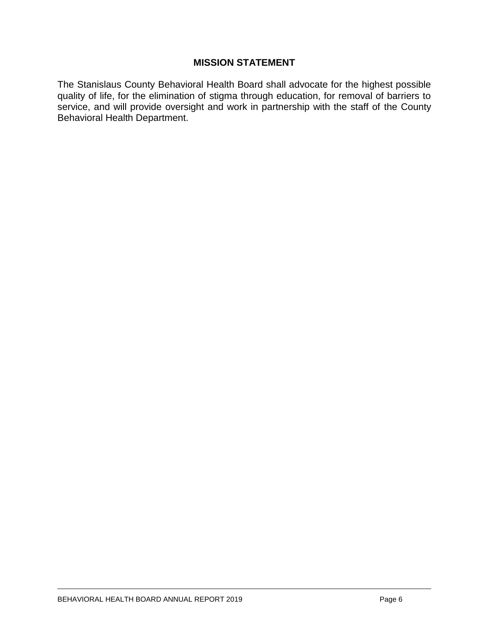## **MISSION STATEMENT**

The Stanislaus County Behavioral Health Board shall advocate for the highest possible quality of life, for the elimination of stigma through education, for removal of barriers to service, and will provide oversight and work in partnership with the staff of the County Behavioral Health Department.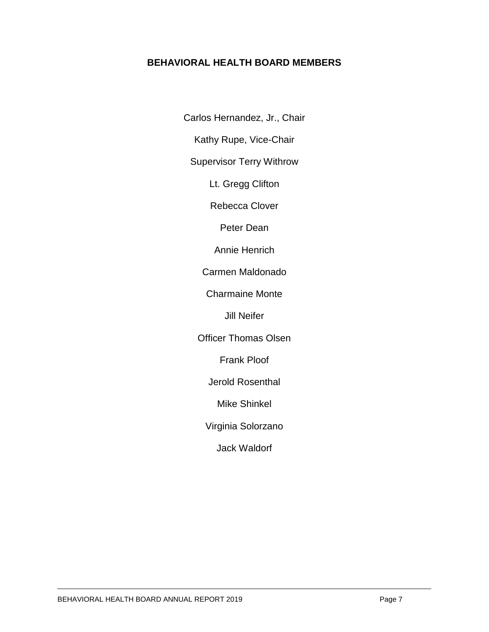# **BEHAVIORAL HEALTH BOARD MEMBERS**

Carlos Hernandez, Jr., Chair

Kathy Rupe, Vice-Chair

Supervisor Terry Withrow

Lt. Gregg Clifton

Rebecca Clover

Peter Dean

Annie Henrich

Carmen Maldonado

Charmaine Monte

Jill Neifer

Officer Thomas Olsen

Frank Ploof

Jerold Rosenthal

Mike Shinkel

Virginia Solorzano

Jack Waldorf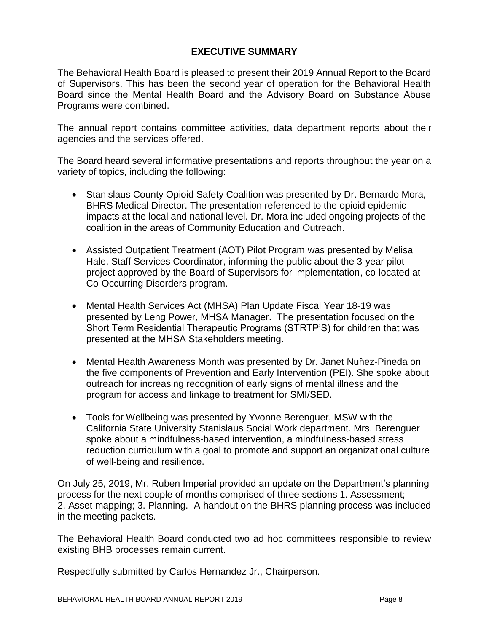# **EXECUTIVE SUMMARY**

The Behavioral Health Board is pleased to present their 2019 Annual Report to the Board of Supervisors. This has been the second year of operation for the Behavioral Health Board since the Mental Health Board and the Advisory Board on Substance Abuse Programs were combined.

The annual report contains committee activities, data department reports about their agencies and the services offered.

The Board heard several informative presentations and reports throughout the year on a variety of topics, including the following:

- Stanislaus County Opioid Safety Coalition was presented by Dr. Bernardo Mora, BHRS Medical Director. The presentation referenced to the opioid epidemic impacts at the local and national level. Dr. Mora included ongoing projects of the coalition in the areas of Community Education and Outreach.
- Assisted Outpatient Treatment (AOT) Pilot Program was presented by Melisa Hale, Staff Services Coordinator, informing the public about the 3-year pilot project approved by the Board of Supervisors for implementation, co-located at Co-Occurring Disorders program.
- Mental Health Services Act (MHSA) Plan Update Fiscal Year 18-19 was presented by Leng Power, MHSA Manager. The presentation focused on the Short Term Residential Therapeutic Programs (STRTP'S) for children that was presented at the MHSA Stakeholders meeting.
- Mental Health Awareness Month was presented by Dr. Janet Nuñez-Pineda on the five components of Prevention and Early Intervention (PEI). She spoke about outreach for increasing recognition of early signs of mental illness and the program for access and linkage to treatment for SMI/SED.
- Tools for Wellbeing was presented by Yvonne Berenguer, MSW with the California State University Stanislaus Social Work department. Mrs. Berenguer spoke about a mindfulness-based intervention, a mindfulness-based stress reduction curriculum with a goal to promote and support an organizational culture of well-being and resilience.

On July 25, 2019, Mr. Ruben Imperial provided an update on the Department's planning process for the next couple of months comprised of three sections 1. Assessment; 2. Asset mapping; 3. Planning. A handout on the BHRS planning process was included in the meeting packets.

The Behavioral Health Board conducted two ad hoc committees responsible to review existing BHB processes remain current.

Respectfully submitted by Carlos Hernandez Jr., Chairperson.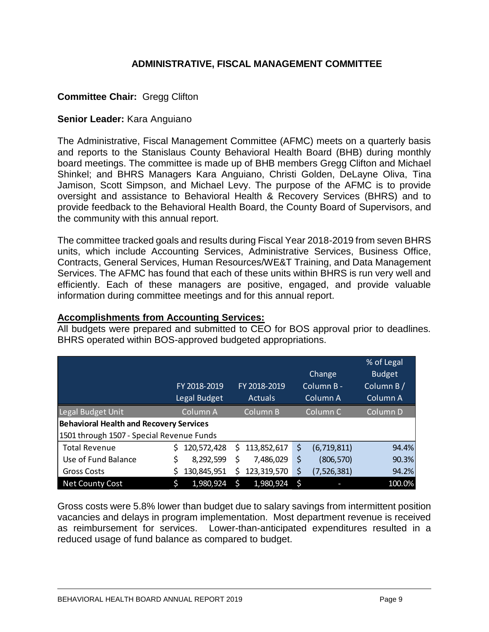# **ADMINISTRATIVE, FISCAL MANAGEMENT COMMITTEE**

# **Committee Chair:** Gregg Clifton

#### **Senior Leader:** Kara Anguiano

The Administrative, Fiscal Management Committee (AFMC) meets on a quarterly basis and reports to the Stanislaus County Behavioral Health Board (BHB) during monthly board meetings. The committee is made up of BHB members Gregg Clifton and Michael Shinkel; and BHRS Managers Kara Anguiano, Christi Golden, DeLayne Oliva, Tina Jamison, Scott Simpson, and Michael Levy. The purpose of the AFMC is to provide oversight and assistance to Behavioral Health & Recovery Services (BHRS) and to provide feedback to the Behavioral Health Board, the County Board of Supervisors, and the community with this annual report.

The committee tracked goals and results during Fiscal Year 2018-2019 from seven BHRS units, which include Accounting Services, Administrative Services, Business Office, Contracts, General Services, Human Resources/WE&T Training, and Data Management Services. The AFMC has found that each of these units within BHRS is run very well and efficiently. Each of these managers are positive, engaged, and provide valuable information during committee meetings and for this annual report.

#### **Accomplishments from Accounting Services:**

All budgets were prepared and submitted to CEO for BOS approval prior to deadlines. BHRS operated within BOS-approved budgeted appropriations.

|                                                |    |              |    |                |     |                     | % of Legal          |
|------------------------------------------------|----|--------------|----|----------------|-----|---------------------|---------------------|
|                                                |    |              |    |                |     | Change              | <b>Budget</b>       |
|                                                |    | FY 2018-2019 |    | FY 2018-2019   |     | Column B-           | Column B/           |
|                                                |    | Legal Budget |    | <b>Actuals</b> |     | Column A            | Column <sub>A</sub> |
| Legal Budget Unit                              |    | Column A     |    | Column B       |     | Column <sub>C</sub> | Column D            |
| <b>Behavioral Health and Recovery Services</b> |    |              |    |                |     |                     |                     |
| 1501 through 1507 - Special Revenue Funds      |    |              |    |                |     |                     |                     |
| <b>Total Revenue</b>                           |    | 120,572,428  | S. | 113,852,617    | \$  | (6,719,811)         | 94.4%               |
| Use of Fund Balance                            | \$ | 8,292,599    | \$ | 7,486,029      | \$  | (806, 570)          | 90.3%               |
| <b>Gross Costs</b>                             |    | 130,845,951  | \$ | 123,319,570    | \$  | (7,526,381)         | 94.2%               |
| <b>Net County Cost</b>                         |    | 1,980,924    | Ś  | 1,980,924      | -\$ |                     | 100.0%              |

Gross costs were 5.8% lower than budget due to salary savings from intermittent position vacancies and delays in program implementation. Most department revenue is received as reimbursement for services. Lower-than-anticipated expenditures resulted in a reduced usage of fund balance as compared to budget.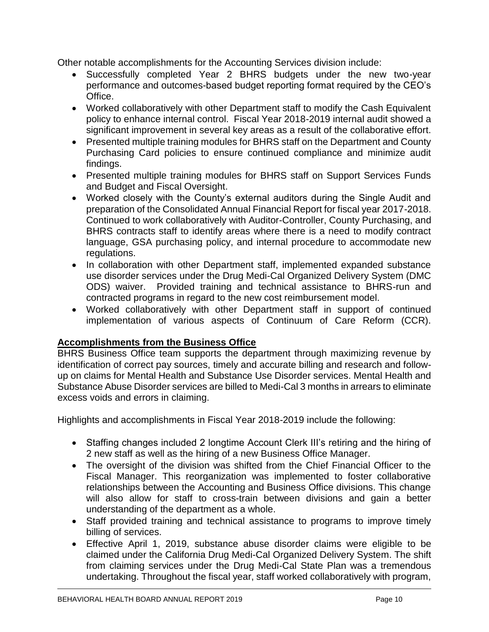Other notable accomplishments for the Accounting Services division include:

- Successfully completed Year 2 BHRS budgets under the new two-year performance and outcomes-based budget reporting format required by the CEO's Office.
- Worked collaboratively with other Department staff to modify the Cash Equivalent policy to enhance internal control. Fiscal Year 2018-2019 internal audit showed a significant improvement in several key areas as a result of the collaborative effort.
- Presented multiple training modules for BHRS staff on the Department and County Purchasing Card policies to ensure continued compliance and minimize audit findings.
- Presented multiple training modules for BHRS staff on Support Services Funds and Budget and Fiscal Oversight.
- Worked closely with the County's external auditors during the Single Audit and preparation of the Consolidated Annual Financial Report for fiscal year 2017-2018. Continued to work collaboratively with Auditor-Controller, County Purchasing, and BHRS contracts staff to identify areas where there is a need to modify contract language, GSA purchasing policy, and internal procedure to accommodate new regulations.
- In collaboration with other Department staff, implemented expanded substance use disorder services under the Drug Medi-Cal Organized Delivery System (DMC ODS) waiver. Provided training and technical assistance to BHRS-run and contracted programs in regard to the new cost reimbursement model.
- Worked collaboratively with other Department staff in support of continued implementation of various aspects of Continuum of Care Reform (CCR).

# **Accomplishments from the Business Office**

BHRS Business Office team supports the department through maximizing revenue by identification of correct pay sources, timely and accurate billing and research and followup on claims for Mental Health and Substance Use Disorder services. Mental Health and Substance Abuse Disorder services are billed to Medi-Cal 3 months in arrears to eliminate excess voids and errors in claiming.

Highlights and accomplishments in Fiscal Year 2018-2019 include the following:

- Staffing changes included 2 longtime Account Clerk III's retiring and the hiring of 2 new staff as well as the hiring of a new Business Office Manager.
- The oversight of the division was shifted from the Chief Financial Officer to the Fiscal Manager. This reorganization was implemented to foster collaborative relationships between the Accounting and Business Office divisions. This change will also allow for staff to cross-train between divisions and gain a better understanding of the department as a whole.
- Staff provided training and technical assistance to programs to improve timely billing of services.
- Effective April 1, 2019, substance abuse disorder claims were eligible to be claimed under the California Drug Medi-Cal Organized Delivery System. The shift from claiming services under the Drug Medi-Cal State Plan was a tremendous undertaking. Throughout the fiscal year, staff worked collaboratively with program,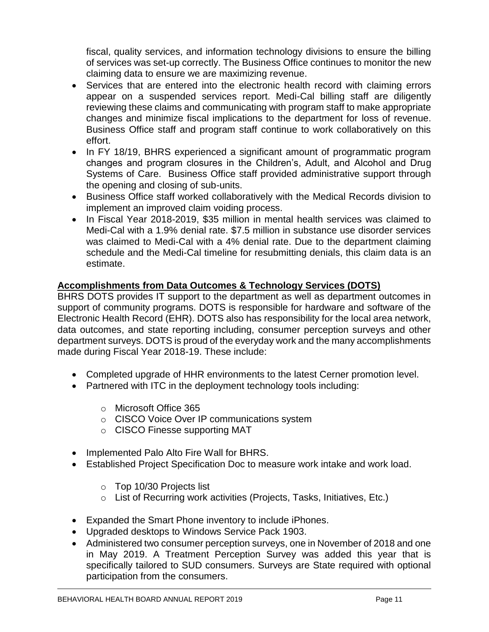fiscal, quality services, and information technology divisions to ensure the billing of services was set-up correctly. The Business Office continues to monitor the new claiming data to ensure we are maximizing revenue.

- Services that are entered into the electronic health record with claiming errors appear on a suspended services report. Medi-Cal billing staff are diligently reviewing these claims and communicating with program staff to make appropriate changes and minimize fiscal implications to the department for loss of revenue. Business Office staff and program staff continue to work collaboratively on this effort.
- In FY 18/19, BHRS experienced a significant amount of programmatic program changes and program closures in the Children's, Adult, and Alcohol and Drug Systems of Care. Business Office staff provided administrative support through the opening and closing of sub-units.
- Business Office staff worked collaboratively with the Medical Records division to implement an improved claim voiding process.
- In Fiscal Year 2018-2019, \$35 million in mental health services was claimed to Medi-Cal with a 1.9% denial rate. \$7.5 million in substance use disorder services was claimed to Medi-Cal with a 4% denial rate. Due to the department claiming schedule and the Medi-Cal timeline for resubmitting denials, this claim data is an estimate.

# **Accomplishments from Data Outcomes & Technology Services (DOTS)**

BHRS DOTS provides IT support to the department as well as department outcomes in support of community programs. DOTS is responsible for hardware and software of the Electronic Health Record (EHR). DOTS also has responsibility for the local area network, data outcomes, and state reporting including, consumer perception surveys and other department surveys. DOTS is proud of the everyday work and the many accomplishments made during Fiscal Year 2018-19. These include:

- Completed upgrade of HHR environments to the latest Cerner promotion level.
- Partnered with ITC in the deployment technology tools including:
	- o Microsoft Office 365
	- o CISCO Voice Over IP communications system
	- o CISCO Finesse supporting MAT
- Implemented Palo Alto Fire Wall for BHRS.
- Established Project Specification Doc to measure work intake and work load.
	- o Top 10/30 Projects list
	- o List of Recurring work activities (Projects, Tasks, Initiatives, Etc.)
- Expanded the Smart Phone inventory to include iPhones.
- Upgraded desktops to Windows Service Pack 1903.
- Administered two consumer perception surveys, one in November of 2018 and one in May 2019. A Treatment Perception Survey was added this year that is specifically tailored to SUD consumers. Surveys are State required with optional participation from the consumers.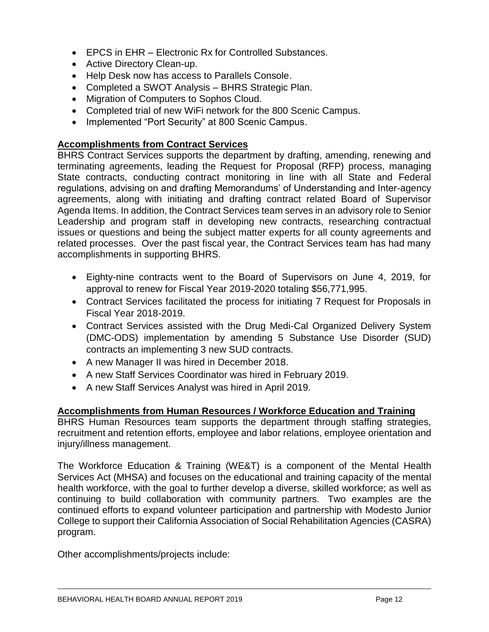- EPCS in EHR Electronic Rx for Controlled Substances.
- Active Directory Clean-up.
- Help Desk now has access to Parallels Console.
- Completed a SWOT Analysis BHRS Strategic Plan.
- Migration of Computers to Sophos Cloud.
- Completed trial of new WiFi network for the 800 Scenic Campus.
- Implemented "Port Security" at 800 Scenic Campus.

## **Accomplishments from Contract Services**

BHRS Contract Services supports the department by drafting, amending, renewing and terminating agreements, leading the Request for Proposal (RFP) process, managing State contracts, conducting contract monitoring in line with all State and Federal regulations, advising on and drafting Memorandums' of Understanding and Inter-agency agreements, along with initiating and drafting contract related Board of Supervisor Agenda Items. In addition, the Contract Services team serves in an advisory role to Senior Leadership and program staff in developing new contracts, researching contractual issues or questions and being the subject matter experts for all county agreements and related processes. Over the past fiscal year, the Contract Services team has had many accomplishments in supporting BHRS.

- Eighty-nine contracts went to the Board of Supervisors on June 4, 2019, for approval to renew for Fiscal Year 2019-2020 totaling \$56,771,995.
- Contract Services facilitated the process for initiating 7 Request for Proposals in Fiscal Year 2018-2019.
- Contract Services assisted with the Drug Medi-Cal Organized Delivery System (DMC-ODS) implementation by amending 5 Substance Use Disorder (SUD) contracts an implementing 3 new SUD contracts.
- A new Manager II was hired in December 2018.
- A new Staff Services Coordinator was hired in February 2019.
- A new Staff Services Analyst was hired in April 2019.

## **Accomplishments from Human Resources / Workforce Education and Training**

BHRS Human Resources team supports the department through staffing strategies, recruitment and retention efforts, employee and labor relations, employee orientation and injury/illness management.

The Workforce Education & Training (WE&T) is a component of the Mental Health Services Act (MHSA) and focuses on the educational and training capacity of the mental health workforce, with the goal to further develop a diverse, skilled workforce; as well as continuing to build collaboration with community partners. Two examples are the continued efforts to expand volunteer participation and partnership with Modesto Junior College to support their California Association of Social Rehabilitation Agencies (CASRA) program.

Other accomplishments/projects include: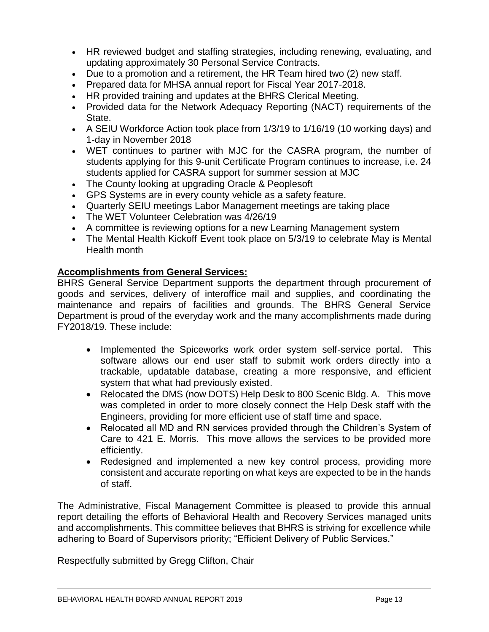- HR reviewed budget and staffing strategies, including renewing, evaluating, and updating approximately 30 Personal Service Contracts.
- Due to a promotion and a retirement, the HR Team hired two (2) new staff.
- Prepared data for MHSA annual report for Fiscal Year 2017-2018.
- HR provided training and updates at the BHRS Clerical Meeting.
- Provided data for the Network Adequacy Reporting (NACT) requirements of the State.
- A SEIU Workforce Action took place from 1/3/19 to 1/16/19 (10 working days) and 1-day in November 2018
- WET continues to partner with MJC for the CASRA program, the number of students applying for this 9-unit Certificate Program continues to increase, i.e. 24 students applied for CASRA support for summer session at MJC
- The County looking at upgrading Oracle & Peoplesoft
- GPS Systems are in every county vehicle as a safety feature.
- Quarterly SEIU meetings Labor Management meetings are taking place
- The WET Volunteer Celebration was 4/26/19
- A committee is reviewing options for a new Learning Management system
- The Mental Health Kickoff Event took place on 5/3/19 to celebrate May is Mental Health month

## **Accomplishments from General Services:**

BHRS General Service Department supports the department through procurement of goods and services, delivery of interoffice mail and supplies, and coordinating the maintenance and repairs of facilities and grounds. The BHRS General Service Department is proud of the everyday work and the many accomplishments made during FY2018/19. These include:

- Implemented the Spiceworks work order system self-service portal. This software allows our end user staff to submit work orders directly into a trackable, updatable database, creating a more responsive, and efficient system that what had previously existed.
- Relocated the DMS (now DOTS) Help Desk to 800 Scenic Bldg. A. This move was completed in order to more closely connect the Help Desk staff with the Engineers, providing for more efficient use of staff time and space.
- Relocated all MD and RN services provided through the Children's System of Care to 421 E. Morris. This move allows the services to be provided more efficiently.
- Redesigned and implemented a new key control process, providing more consistent and accurate reporting on what keys are expected to be in the hands of staff.

The Administrative, Fiscal Management Committee is pleased to provide this annual report detailing the efforts of Behavioral Health and Recovery Services managed units and accomplishments. This committee believes that BHRS is striving for excellence while adhering to Board of Supervisors priority; "Efficient Delivery of Public Services."

Respectfully submitted by Gregg Clifton, Chair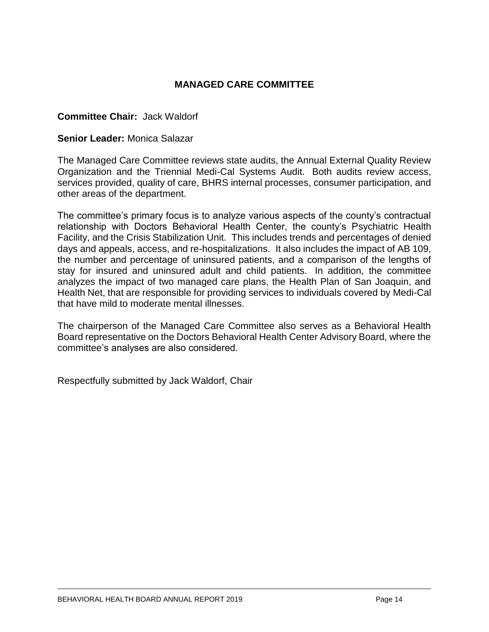# **MANAGED CARE COMMITTEE**

#### **Committee Chair:** Jack Waldorf

#### **Senior Leader:** Monica Salazar

The Managed Care Committee reviews state audits, the Annual External Quality Review Organization and the Triennial Medi-Cal Systems Audit. Both audits review access, services provided, quality of care, BHRS internal processes, consumer participation, and other areas of the department.

The committee's primary focus is to analyze various aspects of the county's contractual relationship with Doctors Behavioral Health Center, the county's Psychiatric Health Facility, and the Crisis Stabilization Unit. This includes trends and percentages of denied days and appeals, access, and re-hospitalizations. It also includes the impact of AB 109, the number and percentage of uninsured patients, and a comparison of the lengths of stay for insured and uninsured adult and child patients. In addition, the committee analyzes the impact of two managed care plans, the Health Plan of San Joaquin, and Health Net, that are responsible for providing services to individuals covered by Medi-Cal that have mild to moderate mental illnesses.

The chairperson of the Managed Care Committee also serves as a Behavioral Health Board representative on the Doctors Behavioral Health Center Advisory Board, where the committee's analyses are also considered.

Respectfully submitted by Jack Waldorf, Chair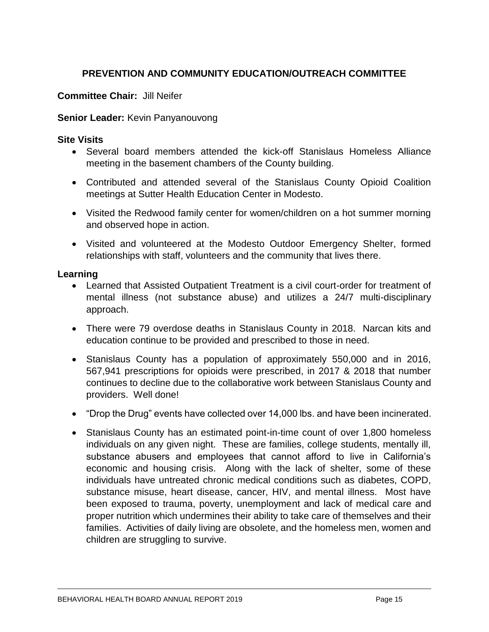# **PREVENTION AND COMMUNITY EDUCATION/OUTREACH COMMITTEE**

## **Committee Chair:** Jill Neifer

#### **Senior Leader:** Kevin Panyanouvong

#### **Site Visits**

- Several board members attended the kick-off Stanislaus Homeless Alliance meeting in the basement chambers of the County building.
- Contributed and attended several of the Stanislaus County Opioid Coalition meetings at Sutter Health Education Center in Modesto.
- Visited the Redwood family center for women/children on a hot summer morning and observed hope in action.
- Visited and volunteered at the Modesto Outdoor Emergency Shelter, formed relationships with staff, volunteers and the community that lives there.

#### **Learning**

- Learned that Assisted Outpatient Treatment is a civil court-order for treatment of mental illness (not substance abuse) and utilizes a 24/7 multi-disciplinary approach.
- There were 79 overdose deaths in Stanislaus County in 2018. Narcan kits and education continue to be provided and prescribed to those in need.
- Stanislaus County has a population of approximately 550,000 and in 2016, 567,941 prescriptions for opioids were prescribed, in 2017 & 2018 that number continues to decline due to the collaborative work between Stanislaus County and providers. Well done!
- "Drop the Drug" events have collected over 14,000 lbs. and have been incinerated.
- Stanislaus County has an estimated point-in-time count of over 1,800 homeless individuals on any given night. These are families, college students, mentally ill, substance abusers and employees that cannot afford to live in California's economic and housing crisis. Along with the lack of shelter, some of these individuals have untreated chronic medical conditions such as diabetes, COPD, substance misuse, heart disease, cancer, HIV, and mental illness. Most have been exposed to trauma, poverty, unemployment and lack of medical care and proper nutrition which undermines their ability to take care of themselves and their families. Activities of daily living are obsolete, and the homeless men, women and children are struggling to survive.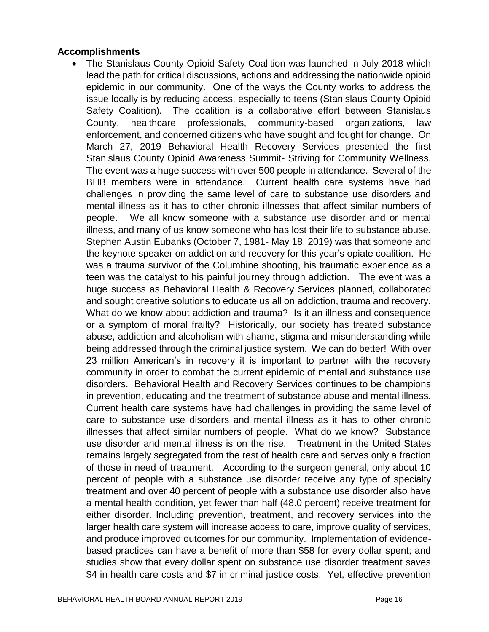## **Accomplishments**

• The Stanislaus County Opioid Safety Coalition was launched in July 2018 which lead the path for critical discussions, actions and addressing the nationwide opioid epidemic in our community. One of the ways the County works to address the issue locally is by reducing access, especially to teens (Stanislaus County Opioid Safety Coalition). The coalition is a collaborative effort between Stanislaus County, healthcare professionals, community-based organizations, law enforcement, and concerned citizens who have sought and fought for change. On March 27, 2019 Behavioral Health Recovery Services presented the first Stanislaus County Opioid Awareness Summit- Striving for Community Wellness. The event was a huge success with over 500 people in attendance. Several of the BHB members were in attendance. Current health care systems have had challenges in providing the same level of care to substance use disorders and mental illness as it has to other chronic illnesses that affect similar numbers of people. We all know someone with a substance use disorder and or mental illness, and many of us know someone who has lost their life to substance abuse. Stephen Austin Eubanks (October 7, 1981- May 18, 2019) was that someone and the keynote speaker on addiction and recovery for this year's opiate coalition. He was a trauma survivor of the Columbine shooting, his traumatic experience as a teen was the catalyst to his painful journey through addiction. The event was a huge success as Behavioral Health & Recovery Services planned, collaborated and sought creative solutions to educate us all on addiction, trauma and recovery. What do we know about addiction and trauma? Is it an illness and consequence or a symptom of moral frailty? Historically, our society has treated substance abuse, addiction and alcoholism with shame, stigma and misunderstanding while being addressed through the criminal justice system. We can do better! With over 23 million American's in recovery it is important to partner with the recovery community in order to combat the current epidemic of mental and substance use disorders. Behavioral Health and Recovery Services continues to be champions in prevention, educating and the treatment of substance abuse and mental illness. Current health care systems have had challenges in providing the same level of care to substance use disorders and mental illness as it has to other chronic illnesses that affect similar numbers of people. What do we know? Substance use disorder and mental illness is on the rise. Treatment in the United States remains largely segregated from the rest of health care and serves only a fraction of those in need of treatment. According to the surgeon general, only about 10 percent of people with a substance use disorder receive any type of specialty treatment and over 40 percent of people with a substance use disorder also have a mental health condition, yet fewer than half (48.0 percent) receive treatment for either disorder. Including prevention, treatment, and recovery services into the larger health care system will increase access to care, improve quality of services, and produce improved outcomes for our community. Implementation of evidencebased practices can have a benefit of more than \$58 for every dollar spent; and studies show that every dollar spent on substance use disorder treatment saves \$4 in health care costs and \$7 in criminal justice costs. Yet, effective prevention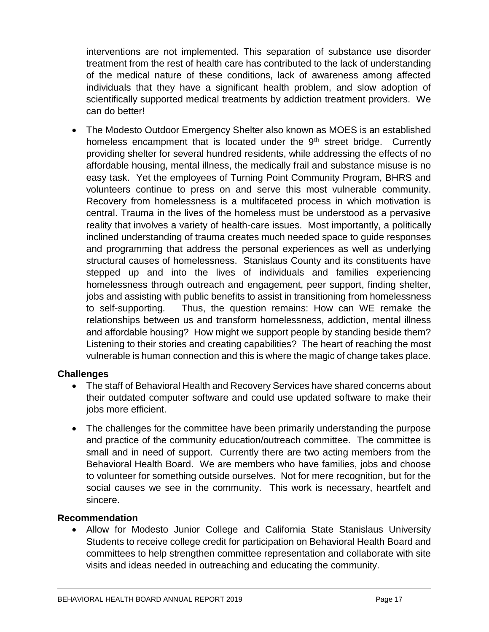interventions are not implemented. This separation of substance use disorder treatment from the rest of health care has contributed to the lack of understanding of the medical nature of these conditions, lack of awareness among affected individuals that they have a significant health problem, and slow adoption of scientifically supported medical treatments by addiction treatment providers. We can do better!

• The Modesto Outdoor Emergency Shelter also known as MOES is an established homeless encampment that is located under the  $9<sup>th</sup>$  street bridge. Currently providing shelter for several hundred residents, while addressing the effects of no affordable housing, mental illness, the medically frail and substance misuse is no easy task. Yet the employees of Turning Point Community Program, BHRS and volunteers continue to press on and serve this most vulnerable community. Recovery from homelessness is a multifaceted process in which motivation is central. Trauma in the lives of the homeless must be understood as a pervasive reality that involves a variety of health-care issues. Most importantly, a politically inclined understanding of trauma creates much needed space to guide responses and programming that address the personal experiences as well as underlying structural causes of homelessness. Stanislaus County and its constituents have stepped up and into the lives of individuals and families experiencing homelessness through outreach and engagement, peer support, finding shelter, jobs and assisting with public benefits to assist in transitioning from homelessness to self-supporting. Thus, the question remains: How can WE remake the relationships between us and transform homelessness, addiction, mental illness and affordable housing? How might we support people by standing beside them? Listening to their stories and creating capabilities? The heart of reaching the most vulnerable is human connection and this is where the magic of change takes place.

# **Challenges**

- The staff of Behavioral Health and Recovery Services have shared concerns about their outdated computer software and could use updated software to make their jobs more efficient.
- The challenges for the committee have been primarily understanding the purpose and practice of the community education/outreach committee. The committee is small and in need of support. Currently there are two acting members from the Behavioral Health Board. We are members who have families, jobs and choose to volunteer for something outside ourselves. Not for mere recognition, but for the social causes we see in the community. This work is necessary, heartfelt and sincere.

# **Recommendation**

• Allow for Modesto Junior College and California State Stanislaus University Students to receive college credit for participation on Behavioral Health Board and committees to help strengthen committee representation and collaborate with site visits and ideas needed in outreaching and educating the community.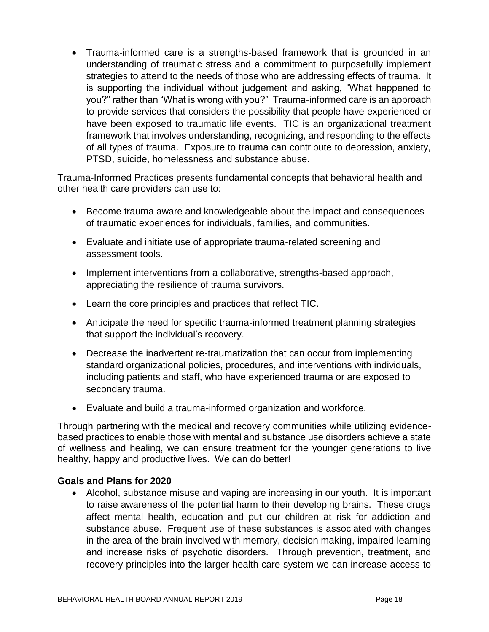• Trauma-informed care is a strengths-based framework that is grounded in an understanding of traumatic stress and a commitment to purposefully implement strategies to attend to the needs of those who are addressing effects of trauma. It is supporting the individual without judgement and asking, "What happened to you?" rather than "What is wrong with you?" Trauma-informed care is an approach to provide services that considers the possibility that people have experienced or have been exposed to traumatic life events. TIC is an organizational treatment framework that involves understanding, recognizing, and responding to the effects of all types of trauma. Exposure to trauma can contribute to depression, anxiety, PTSD, suicide, homelessness and substance abuse.

Trauma-Informed Practices presents fundamental concepts that behavioral health and other health care providers can use to:

- Become trauma aware and knowledgeable about the impact and consequences of traumatic experiences for individuals, families, and communities.
- Evaluate and initiate use of appropriate trauma-related screening and assessment tools.
- Implement interventions from a collaborative, strengths-based approach, appreciating the resilience of trauma survivors.
- Learn the core principles and practices that reflect TIC.
- Anticipate the need for specific trauma-informed treatment planning strategies that support the individual's recovery.
- Decrease the inadvertent re-traumatization that can occur from implementing standard organizational policies, procedures, and interventions with individuals, including patients and staff, who have experienced trauma or are exposed to secondary trauma.
- Evaluate and build a trauma-informed organization and workforce.

Through partnering with the medical and recovery communities while utilizing evidencebased practices to enable those with mental and substance use disorders achieve a state of wellness and healing, we can ensure treatment for the younger generations to live healthy, happy and productive lives. We can do better!

## **Goals and Plans for 2020**

• Alcohol, substance misuse and vaping are increasing in our youth. It is important to raise awareness of the potential harm to their developing brains. These drugs affect mental health, education and put our children at risk for addiction and substance abuse. Frequent use of these substances is associated with changes in the area of the brain involved with memory, decision making, impaired learning and increase risks of psychotic disorders. Through prevention, treatment, and recovery principles into the larger health care system we can increase access to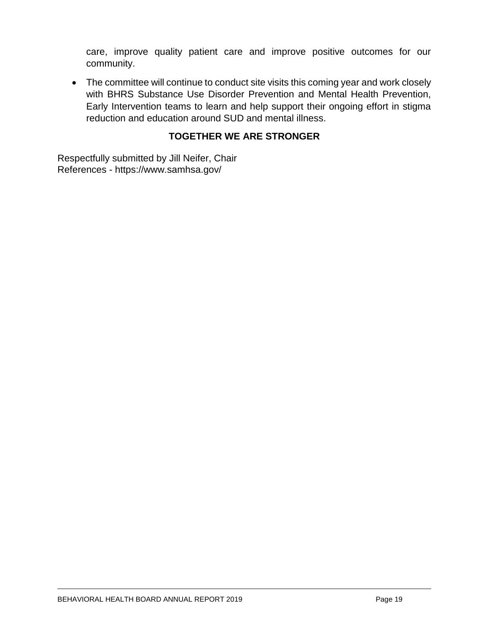care, improve quality patient care and improve positive outcomes for our community.

• The committee will continue to conduct site visits this coming year and work closely with BHRS Substance Use Disorder Prevention and Mental Health Prevention, Early Intervention teams to learn and help support their ongoing effort in stigma reduction and education around SUD and mental illness.

# **TOGETHER WE ARE STRONGER**

Respectfully submitted by Jill Neifer, Chair References - https://www.samhsa.gov/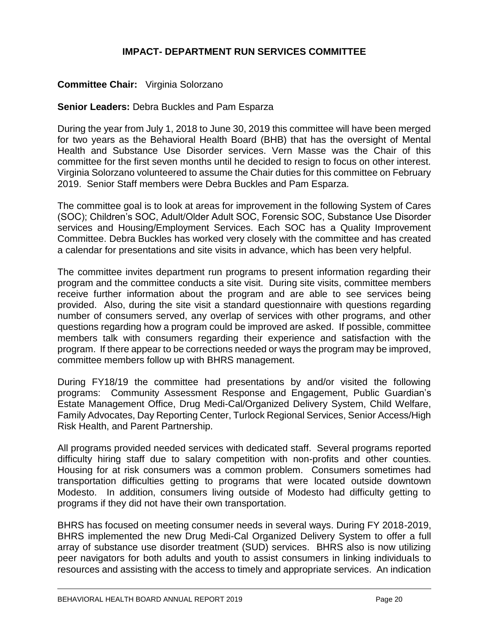## **IMPACT- DEPARTMENT RUN SERVICES COMMITTEE**

## **Committee Chair:** Virginia Solorzano

#### **Senior Leaders:** Debra Buckles and Pam Esparza

During the year from July 1, 2018 to June 30, 2019 this committee will have been merged for two years as the Behavioral Health Board (BHB) that has the oversight of Mental Health and Substance Use Disorder services. Vern Masse was the Chair of this committee for the first seven months until he decided to resign to focus on other interest. Virginia Solorzano volunteered to assume the Chair duties for this committee on February 2019. Senior Staff members were Debra Buckles and Pam Esparza.

The committee goal is to look at areas for improvement in the following System of Cares (SOC); Children's SOC, Adult/Older Adult SOC, Forensic SOC, Substance Use Disorder services and Housing/Employment Services. Each SOC has a Quality Improvement Committee. Debra Buckles has worked very closely with the committee and has created a calendar for presentations and site visits in advance, which has been very helpful.

The committee invites department run programs to present information regarding their program and the committee conducts a site visit. During site visits, committee members receive further information about the program and are able to see services being provided. Also, during the site visit a standard questionnaire with questions regarding number of consumers served, any overlap of services with other programs, and other questions regarding how a program could be improved are asked. If possible, committee members talk with consumers regarding their experience and satisfaction with the program. If there appear to be corrections needed or ways the program may be improved, committee members follow up with BHRS management.

During FY18/19 the committee had presentations by and/or visited the following programs: Community Assessment Response and Engagement, Public Guardian's Estate Management Office, Drug Medi-Cal/Organized Delivery System, Child Welfare, Family Advocates, Day Reporting Center, Turlock Regional Services, Senior Access/High Risk Health, and Parent Partnership.

All programs provided needed services with dedicated staff. Several programs reported difficulty hiring staff due to salary competition with non-profits and other counties. Housing for at risk consumers was a common problem. Consumers sometimes had transportation difficulties getting to programs that were located outside downtown Modesto. In addition, consumers living outside of Modesto had difficulty getting to programs if they did not have their own transportation.

BHRS has focused on meeting consumer needs in several ways. During FY 2018-2019, BHRS implemented the new Drug Medi-Cal Organized Delivery System to offer a full array of substance use disorder treatment (SUD) services. BHRS also is now utilizing peer navigators for both adults and youth to assist consumers in linking individuals to resources and assisting with the access to timely and appropriate services. An indication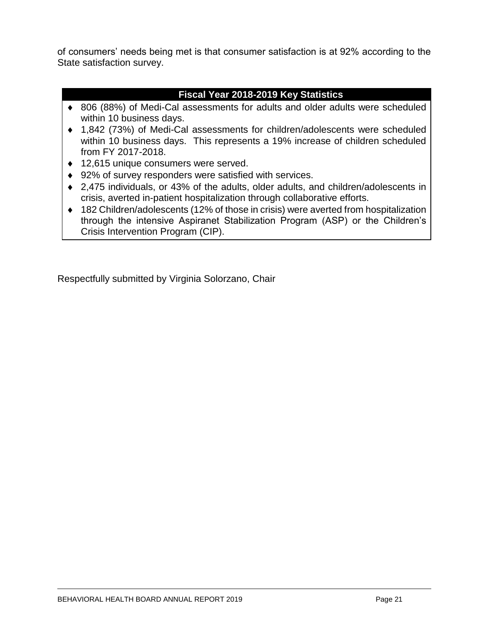of consumers' needs being met is that consumer satisfaction is at 92% according to the State satisfaction survey.

# **Fiscal Year 2018-2019 Key Statistics**

- 806 (88%) of Medi-Cal assessments for adults and older adults were scheduled within 10 business days.
- 1,842 (73%) of Medi-Cal assessments for children/adolescents were scheduled within 10 business days. This represents a 19% increase of children scheduled from FY 2017-2018.
- ◆ 12,615 unique consumers were served.
- ◆ 92% of survey responders were satisfied with services.
- 2,475 individuals, or 43% of the adults, older adults, and children/adolescents in crisis, averted in-patient hospitalization through collaborative efforts.
- 182 Children/adolescents (12% of those in crisis) were averted from hospitalization through the intensive Aspiranet Stabilization Program (ASP) or the Children's Crisis Intervention Program (CIP).

Respectfully submitted by Virginia Solorzano, Chair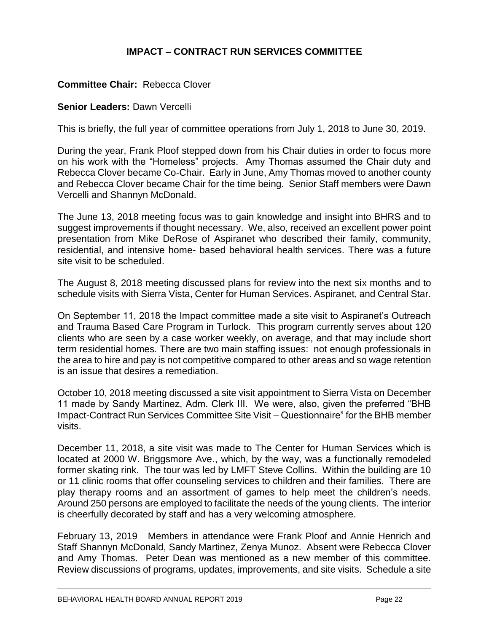# **IMPACT – CONTRACT RUN SERVICES COMMITTEE**

# **Committee Chair:** Rebecca Clover

#### **Senior Leaders:** Dawn Vercelli

This is briefly, the full year of committee operations from July 1, 2018 to June 30, 2019.

During the year, Frank Ploof stepped down from his Chair duties in order to focus more on his work with the "Homeless" projects. Amy Thomas assumed the Chair duty and Rebecca Clover became Co-Chair. Early in June, Amy Thomas moved to another county and Rebecca Clover became Chair for the time being. Senior Staff members were Dawn Vercelli and Shannyn McDonald.

The June 13, 2018 meeting focus was to gain knowledge and insight into BHRS and to suggest improvements if thought necessary. We, also, received an excellent power point presentation from Mike DeRose of Aspiranet who described their family, community, residential, and intensive home- based behavioral health services. There was a future site visit to be scheduled.

The August 8, 2018 meeting discussed plans for review into the next six months and to schedule visits with Sierra Vista, Center for Human Services. Aspiranet, and Central Star.

On September 11, 2018 the Impact committee made a site visit to Aspiranet's Outreach and Trauma Based Care Program in Turlock. This program currently serves about 120 clients who are seen by a case worker weekly, on average, and that may include short term residential homes. There are two main staffing issues: not enough professionals in the area to hire and pay is not competitive compared to other areas and so wage retention is an issue that desires a remediation.

October 10, 2018 meeting discussed a site visit appointment to Sierra Vista on December 11 made by Sandy Martinez, Adm. Clerk III. We were, also, given the preferred "BHB Impact-Contract Run Services Committee Site Visit – Questionnaire" for the BHB member visits.

December 11, 2018, a site visit was made to The Center for Human Services which is located at 2000 W. Briggsmore Ave., which, by the way, was a functionally remodeled former skating rink. The tour was led by LMFT Steve Collins. Within the building are 10 or 11 clinic rooms that offer counseling services to children and their families. There are play therapy rooms and an assortment of games to help meet the children's needs. Around 250 persons are employed to facilitate the needs of the young clients. The interior is cheerfully decorated by staff and has a very welcoming atmosphere.

February 13, 2019 Members in attendance were Frank Ploof and Annie Henrich and Staff Shannyn McDonald, Sandy Martinez, Zenya Munoz. Absent were Rebecca Clover and Amy Thomas. Peter Dean was mentioned as a new member of this committee. Review discussions of programs, updates, improvements, and site visits. Schedule a site